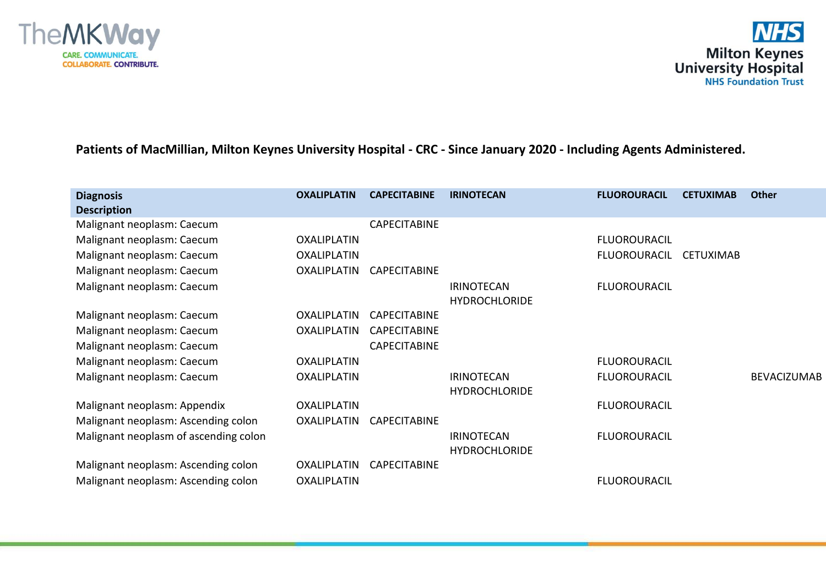

## **Patients of MacMillian, Milton Keynes University Hospital - CRC - Since January 2020 - Including Agents Administered.**

| <b>Diagnosis</b><br><b>Description</b> | <b>OXALIPLATIN</b> | <b>CAPECITABINE</b> | <b>IRINOTECAN</b>                         | <b>FLUOROURACIL</b> | <b>CETUXIMAB</b> | <b>Other</b>       |
|----------------------------------------|--------------------|---------------------|-------------------------------------------|---------------------|------------------|--------------------|
| Malignant neoplasm: Caecum             |                    | <b>CAPECITABINE</b> |                                           |                     |                  |                    |
| Malignant neoplasm: Caecum             | OXALIPLATIN        |                     |                                           | <b>FLUOROURACIL</b> |                  |                    |
| Malignant neoplasm: Caecum             | <b>OXALIPLATIN</b> |                     |                                           | <b>FLUOROURACIL</b> | <b>CETUXIMAB</b> |                    |
| Malignant neoplasm: Caecum             | <b>OXALIPLATIN</b> | <b>CAPECITABINE</b> |                                           |                     |                  |                    |
| Malignant neoplasm: Caecum             |                    |                     | <b>IRINOTECAN</b><br><b>HYDROCHLORIDE</b> | <b>FLUOROURACIL</b> |                  |                    |
| Malignant neoplasm: Caecum             | <b>OXALIPLATIN</b> | <b>CAPECITABINE</b> |                                           |                     |                  |                    |
| Malignant neoplasm: Caecum             | <b>OXALIPLATIN</b> | <b>CAPECITABINE</b> |                                           |                     |                  |                    |
| Malignant neoplasm: Caecum             |                    | <b>CAPECITABINE</b> |                                           |                     |                  |                    |
| Malignant neoplasm: Caecum             | OXALIPLATIN        |                     |                                           | <b>FLUOROURACIL</b> |                  |                    |
| Malignant neoplasm: Caecum             | <b>OXALIPLATIN</b> |                     | <b>IRINOTECAN</b><br><b>HYDROCHLORIDE</b> | <b>FLUOROURACIL</b> |                  | <b>BEVACIZUMAB</b> |
| Malignant neoplasm: Appendix           | <b>OXALIPLATIN</b> |                     |                                           | <b>FLUOROURACIL</b> |                  |                    |
| Malignant neoplasm: Ascending colon    | <b>OXALIPLATIN</b> | <b>CAPECITABINE</b> |                                           |                     |                  |                    |
| Malignant neoplasm of ascending colon  |                    |                     | <b>IRINOTECAN</b><br><b>HYDROCHLORIDE</b> | <b>FLUOROURACIL</b> |                  |                    |
| Malignant neoplasm: Ascending colon    | <b>OXALIPLATIN</b> | <b>CAPECITABINE</b> |                                           |                     |                  |                    |
| Malignant neoplasm: Ascending colon    | <b>OXALIPLATIN</b> |                     |                                           | <b>FLUOROURACIL</b> |                  |                    |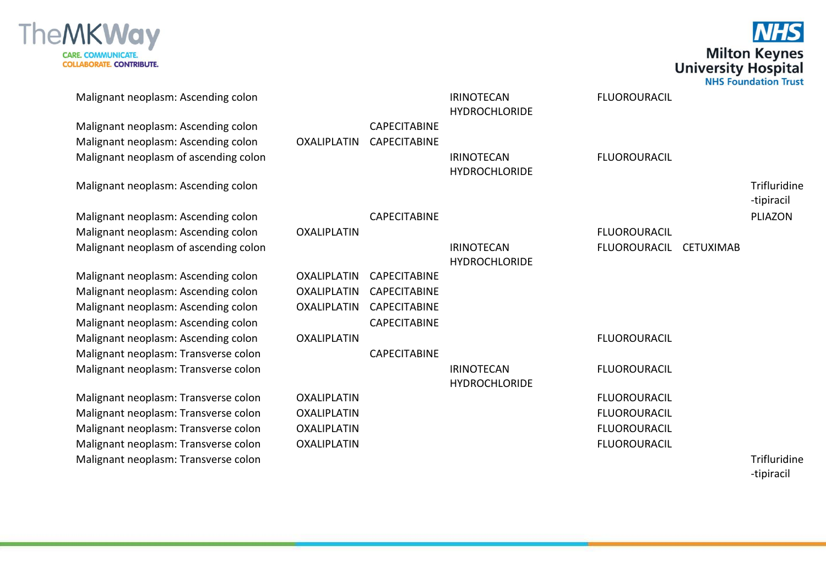

**NHS Milton Keynes**<br>University Hospital<br>NHS Foundation Trust

| Malignant neoplasm: Ascending colon   |                    |                     | <b>IRINOTECAN</b><br><b>HYDROCHLORIDE</b> | <b>FLUOROURACIL</b> |                  |                            |
|---------------------------------------|--------------------|---------------------|-------------------------------------------|---------------------|------------------|----------------------------|
| Malignant neoplasm: Ascending colon   |                    | <b>CAPECITABINE</b> |                                           |                     |                  |                            |
| Malignant neoplasm: Ascending colon   | <b>OXALIPLATIN</b> | <b>CAPECITABINE</b> |                                           |                     |                  |                            |
| Malignant neoplasm of ascending colon |                    |                     | <b>IRINOTECAN</b><br><b>HYDROCHLORIDE</b> | <b>FLUOROURACIL</b> |                  |                            |
| Malignant neoplasm: Ascending colon   |                    |                     |                                           |                     |                  | Trifluridine<br>-tipiracil |
| Malignant neoplasm: Ascending colon   |                    | <b>CAPECITABINE</b> |                                           |                     |                  | PLIAZON                    |
| Malignant neoplasm: Ascending colon   | <b>OXALIPLATIN</b> |                     |                                           | <b>FLUOROURACIL</b> |                  |                            |
| Malignant neoplasm of ascending colon |                    |                     | <b>IRINOTECAN</b><br><b>HYDROCHLORIDE</b> | <b>FLUOROURACIL</b> | <b>CETUXIMAB</b> |                            |
| Malignant neoplasm: Ascending colon   | <b>OXALIPLATIN</b> | <b>CAPECITABINE</b> |                                           |                     |                  |                            |
| Malignant neoplasm: Ascending colon   | <b>OXALIPLATIN</b> | <b>CAPECITABINE</b> |                                           |                     |                  |                            |
| Malignant neoplasm: Ascending colon   | <b>OXALIPLATIN</b> | <b>CAPECITABINE</b> |                                           |                     |                  |                            |
| Malignant neoplasm: Ascending colon   |                    | <b>CAPECITABINE</b> |                                           |                     |                  |                            |
| Malignant neoplasm: Ascending colon   | <b>OXALIPLATIN</b> |                     |                                           | <b>FLUOROURACIL</b> |                  |                            |
| Malignant neoplasm: Transverse colon  |                    | <b>CAPECITABINE</b> |                                           |                     |                  |                            |
| Malignant neoplasm: Transverse colon  |                    |                     | <b>IRINOTECAN</b><br><b>HYDROCHLORIDE</b> | <b>FLUOROURACIL</b> |                  |                            |
| Malignant neoplasm: Transverse colon  | <b>OXALIPLATIN</b> |                     |                                           | <b>FLUOROURACIL</b> |                  |                            |
| Malignant neoplasm: Transverse colon  | <b>OXALIPLATIN</b> |                     |                                           | <b>FLUOROURACIL</b> |                  |                            |
| Malignant neoplasm: Transverse colon  | <b>OXALIPLATIN</b> |                     |                                           | <b>FLUOROURACIL</b> |                  |                            |
| Malignant neoplasm: Transverse colon  | <b>OXALIPLATIN</b> |                     |                                           | <b>FLUOROURACIL</b> |                  |                            |
| Malignant neoplasm: Transverse colon  |                    |                     |                                           |                     |                  | Trifluridine               |

-tipiracil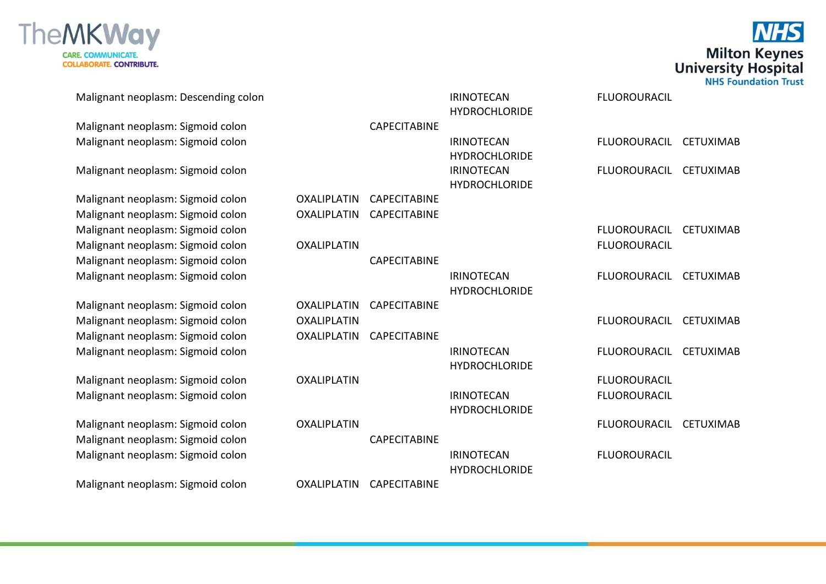



Malignant neoplasm: Descending colon International IRINOTECAN **HYDROCHLORIDE** FLUOROURACIL Malignant neoplasm: Sigmoid colon CAPECITABINE Malignant neoplasm: Sigmoid colon IRINOTECAN **HYDROCHLORIDE** FLUOROURACIL CETUXIMAB Malignant neoplasm: Sigmoid colon International IRINOTECAN **HYDROCHLORIDE** FLUOROURACIL CETUXIMAB Malignant neoplasm: Sigmoid colon OXALIPLATIN CAPECITABINE Malignant neoplasm: Sigmoid colon OXALIPLATIN CAPECITABINE Malignant neoplasm: Sigmoid colon FLUOROURACIL CETUXIMAB Malignant neoplasm: Sigmoid colon COXALIPLATIN COXALITY CONSERVATION CONTRACIL Malignant neoplasm: Sigmoid colon CAPECITABINE Malignant neoplasm: Sigmoid colon International IRINOTECAN HYDROCHLORIDE FLUOROURACIL CETUXIMAB Malignant neoplasm: Sigmoid colon OXALIPLATIN CAPECITABINE Malignant neoplasm: Sigmoid colon OXALIPLATIN FLUOROURACIL CETUXIMAB Malignant neoplasm: Sigmoid colon OXALIPLATIN CAPECITABINE Malignant neoplasm: Sigmoid colon International IRINOTECAN **HYDROCHLORIDE** FLUOROURACIL CETUXIMAB Malignant neoplasm: Sigmoid colon OXALIPLATIN FLUOROURACIL Malignant neoplasm: Sigmoid colon International IRINOTECAN **HYDROCHLORIDE** FLUOROURACIL Malignant neoplasm: Sigmoid colon COXALIPLATIN COXALIGNER CONSERVENTION RELATION CETUXIMAB Malignant neoplasm: Sigmoid colon CAPECITABINE Malignant neoplasm: Sigmoid colon IRINOTECAN **HYDROCHLORIDE FILIOROURACIL** Malignant neoplasm: Sigmoid colon OXALIPLATIN CAPECITABINE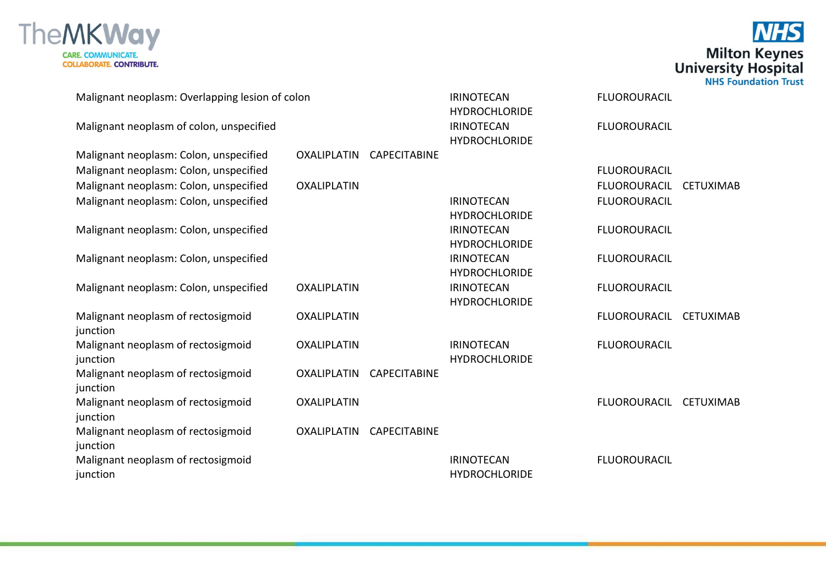



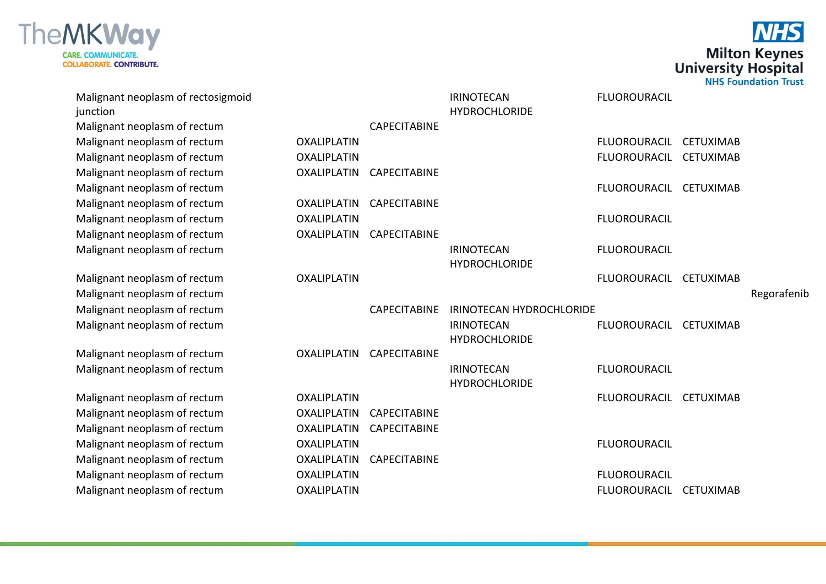



| Malignant neoplasm of rectosigmoid<br>junction |                    |                     | <b>IRINOTECAN</b><br><b>HYDROCHLORIDE</b> | <b>FLUOROURACIL</b> |                  |             |
|------------------------------------------------|--------------------|---------------------|-------------------------------------------|---------------------|------------------|-------------|
| Malignant neoplasm of rectum                   |                    | <b>CAPECITABINE</b> |                                           |                     |                  |             |
| Malignant neoplasm of rectum                   | <b>OXALIPLATIN</b> |                     |                                           | <b>FLUOROURACIL</b> | <b>CETUXIMAB</b> |             |
| Malignant neoplasm of rectum                   | <b>OXALIPLATIN</b> |                     |                                           | <b>FLUOROURACIL</b> | <b>CETUXIMAB</b> |             |
| Malignant neoplasm of rectum                   | <b>OXALIPLATIN</b> | <b>CAPECITABINE</b> |                                           |                     |                  |             |
| Malignant neoplasm of rectum                   |                    |                     |                                           | <b>FLUOROURACIL</b> | <b>CETUXIMAB</b> |             |
| Malignant neoplasm of rectum                   | <b>OXALIPLATIN</b> | <b>CAPECITABINE</b> |                                           |                     |                  |             |
| Malignant neoplasm of rectum                   | <b>OXALIPLATIN</b> |                     |                                           | <b>FLUOROURACIL</b> |                  |             |
| Malignant neoplasm of rectum                   | <b>OXALIPLATIN</b> | <b>CAPECITABINE</b> |                                           |                     |                  |             |
| Malignant neoplasm of rectum                   |                    |                     | <b>IRINOTECAN</b><br><b>HYDROCHLORIDE</b> | <b>FLUOROURACIL</b> |                  |             |
| Malignant neoplasm of rectum                   | <b>OXALIPLATIN</b> |                     |                                           | <b>FLUOROURACIL</b> | <b>CETUXIMAB</b> |             |
| Malignant neoplasm of rectum                   |                    |                     |                                           |                     |                  | Regorafenib |
| Malignant neoplasm of rectum                   |                    | <b>CAPECITABINE</b> | IRINOTECAN HYDROCHLORIDE                  |                     |                  |             |
| Malignant neoplasm of rectum                   |                    |                     | <b>IRINOTECAN</b><br><b>HYDROCHLORIDE</b> | <b>FLUOROURACIL</b> | <b>CETUXIMAB</b> |             |
| Malignant neoplasm of rectum                   | <b>OXALIPLATIN</b> | <b>CAPECITABINE</b> |                                           |                     |                  |             |
| Malignant neoplasm of rectum                   |                    |                     | <b>IRINOTECAN</b><br><b>HYDROCHLORIDE</b> | <b>FLUOROURACIL</b> |                  |             |
| Malignant neoplasm of rectum                   | <b>OXALIPLATIN</b> |                     |                                           | <b>FLUOROURACIL</b> | <b>CETUXIMAB</b> |             |
| Malignant neoplasm of rectum                   | <b>OXALIPLATIN</b> | <b>CAPECITABINE</b> |                                           |                     |                  |             |
| Malignant neoplasm of rectum                   | <b>OXALIPLATIN</b> | <b>CAPECITABINE</b> |                                           |                     |                  |             |
| Malignant neoplasm of rectum                   | <b>OXALIPLATIN</b> |                     |                                           | <b>FLUOROURACIL</b> |                  |             |
| Malignant neoplasm of rectum                   | <b>OXALIPLATIN</b> | <b>CAPECITABINE</b> |                                           |                     |                  |             |
| Malignant neoplasm of rectum                   | <b>OXALIPLATIN</b> |                     |                                           | <b>FLUOROURACIL</b> |                  |             |
| Malignant neoplasm of rectum                   | <b>OXALIPLATIN</b> |                     |                                           | <b>FLUOROURACIL</b> | <b>CETUXIMAB</b> |             |